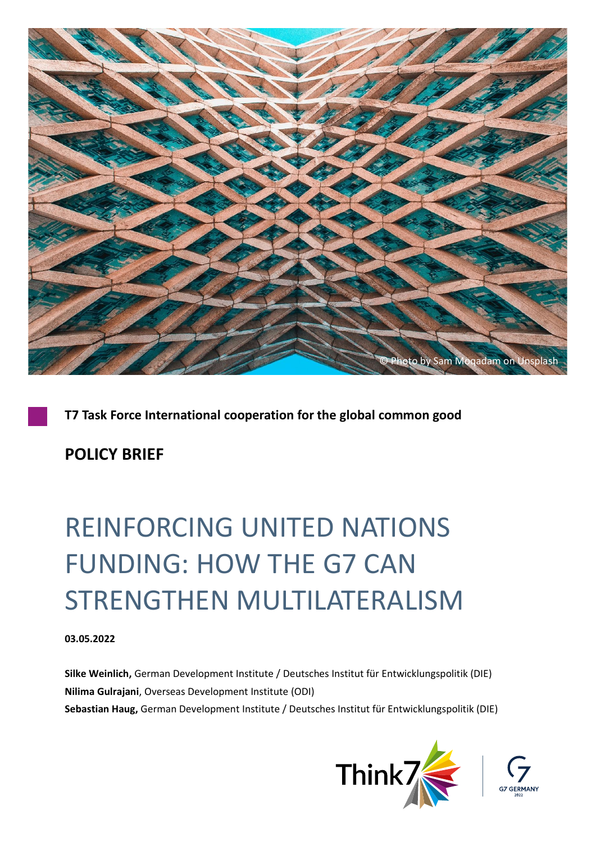

**T7 Task Force International cooperation for the global common good**

**POLICY BRIEF**

# REINFORCING UNITED NATIONS FUNDING: HOW THE G7 CAN STRENGTHEN MULTILATERALISM

#### **03.05.2022**

**Silke Weinlich,** German Development Institute / Deutsches Institut für Entwicklungspolitik (DIE) **Nilima Gulrajani**, Overseas Development Institute (ODI) **Sebastian Haug,** German Development Institute / Deutsches Institut für Entwicklungspolitik (DIE)



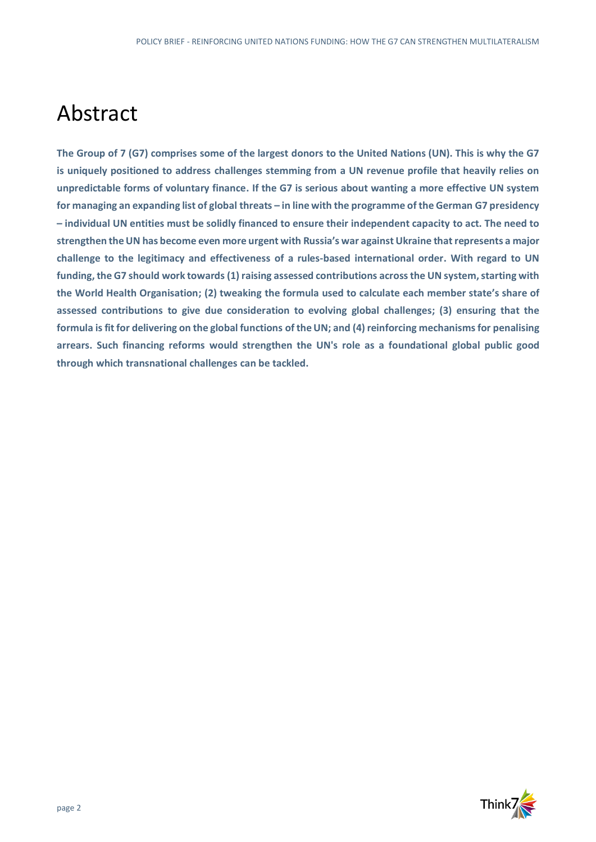### Abstract

**The Group of 7 (G7) comprises some of the largest donors to the United Nations (UN). This is why the G7 is uniquely positioned to address challenges stemming from a UN revenue profile that heavily relies on unpredictable forms of voluntary finance. If the G7 is serious about wanting a more effective UN system for managing an expanding list of global threats – in line with the programme of the German G7 presidency – individual UN entities must be solidly financed to ensure their independent capacity to act. The need to strengthen the UN has become even more urgent with Russia's war againstUkraine that represents a major challenge to the legitimacy and effectiveness of a rules-based international order. With regard to UN funding, the G7 should work towards (1) raising assessed contributions across the UN system, starting with the World Health Organisation; (2) tweaking the formula used to calculate each member state's share of assessed contributions to give due consideration to evolving global challenges; (3) ensuring that the formula isfit for delivering on the global functions of the UN; and (4) reinforcing mechanisms for penalising arrears. Such financing reforms would strengthen the UN's role as a foundational global public good through which transnational challenges can be tackled.** 

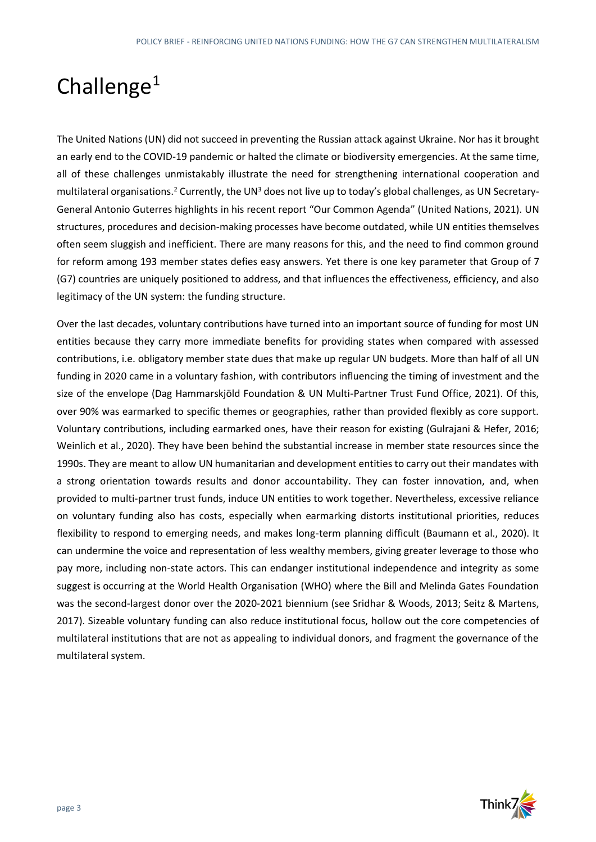## Challenge<sup>1</sup>

The United Nations (UN) did not succeed in preventing the Russian attack against Ukraine. Nor has it brought an early end to the COVID-19 pandemic or halted the climate or biodiversity emergencies. At the same time, all of these challenges unmistakably illustrate the need for strengthening international cooperation and multilateral organisations.<sup>2</sup> Currently, the UN<sup>3</sup> does not live up to today's global challenges, as UN Secretary-General Antonio Guterres highlights in his recent report "Our Common Agenda" (United Nations, 2021). UN structures, procedures and decision-making processes have become outdated, while UN entities themselves often seem sluggish and inefficient. There are many reasons for this, and the need to find common ground for reform among 193 member states defies easy answers. Yet there is one key parameter that Group of 7 (G7) countries are uniquely positioned to address, and that influences the effectiveness, efficiency, and also legitimacy of the UN system: the funding structure.

Over the last decades, voluntary contributions have turned into an important source of funding for most UN entities because they carry more immediate benefits for providing states when compared with assessed contributions, i.e. obligatory member state dues that make up regular UN budgets. More than half of all UN funding in 2020 came in a voluntary fashion, with contributors influencing the timing of investment and the size of the envelope (Dag Hammarskjöld Foundation & UN Multi-Partner Trust Fund Office, 2021). Of this, over 90% was earmarked to specific themes or geographies, rather than provided flexibly as core support. Voluntary contributions, including earmarked ones, have their reason for existing (Gulrajani & Hefer, 2016; Weinlich et al., 2020). They have been behind the substantial increase in member state resources since the 1990s. They are meant to allow UN humanitarian and development entities to carry out their mandates with a strong orientation towards results and donor accountability. They can foster innovation, and, when provided to multi-partner trust funds, induce UN entities to work together. Nevertheless, excessive reliance on voluntary funding also has costs, especially when earmarking distorts institutional priorities, reduces flexibility to respond to emerging needs, and makes long-term planning difficult (Baumann et al., 2020). It can undermine the voice and representation of less wealthy members, giving greater leverage to those who pay more, including non-state actors. This can endanger institutional independence and integrity as some suggest is occurring at the World Health Organisation (WHO) where the Bill and Melinda Gates Foundation was the second-largest donor over the 2020-2021 biennium (see Sridhar & Woods, 2013; Seitz & Martens, 2017). Sizeable voluntary funding can also reduce institutional focus, hollow out the core competencies of multilateral institutions that are not as appealing to individual donors, and fragment the governance of the multilateral system.

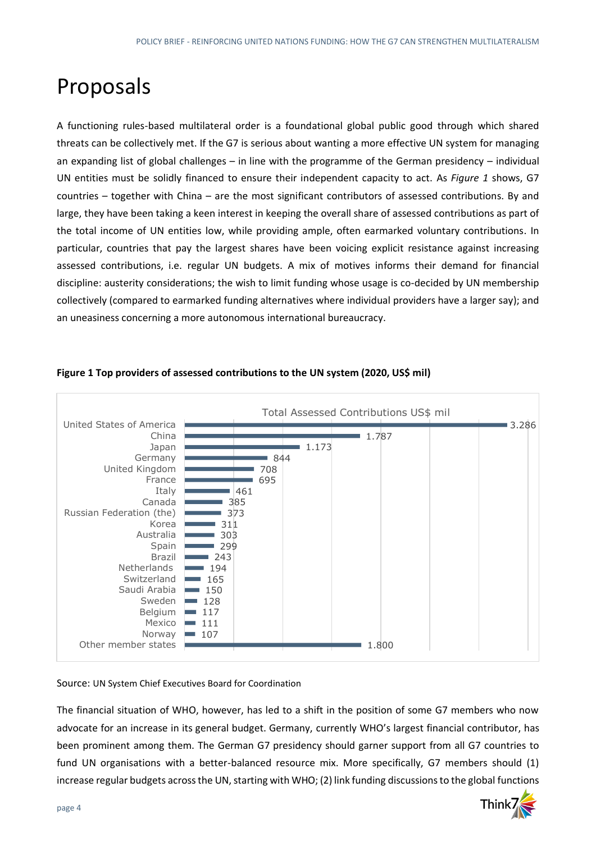### Proposals

A functioning rules-based multilateral order is a foundational global public good through which shared threats can be collectively met. If the G7 is serious about wanting a more effective UN system for managing an expanding list of global challenges – in line with the programme of the German presidency – individual UN entities must be solidly financed to ensure their independent capacity to act. As *Figure 1* shows, G7 countries – together with China – are the most significant contributors of assessed contributions. By and large, they have been taking a keen interest in keeping the overall share of assessed contributions as part of the total income of UN entities low, while providing ample, often earmarked voluntary contributions. In particular, countries that pay the largest shares have been voicing explicit resistance against increasing assessed contributions, i.e. regular UN budgets. A mix of motives informs their demand for financial discipline: austerity considerations; the wish to limit funding whose usage is co-decided by UN membership collectively (compared to earmarked funding alternatives where individual providers have a larger say); and an uneasiness concerning a more autonomous international bureaucracy.



#### **Figure 1 Top providers of assessed contributions to the UN system (2020, US\$ mil)**

#### Source: UN System Chief Executives Board for Coordination

The financial situation of WHO, however, has led to a shift in the position of some G7 members who now advocate for an increase in its general budget. Germany, currently WHO's largest financial contributor, has been prominent among them. The German G7 presidency should garner support from all G7 countries to fund UN organisations with a better-balanced resource mix. More specifically, G7 members should (1) increase regular budgets across the UN, starting with WHO; (2) link funding discussions to the global functions

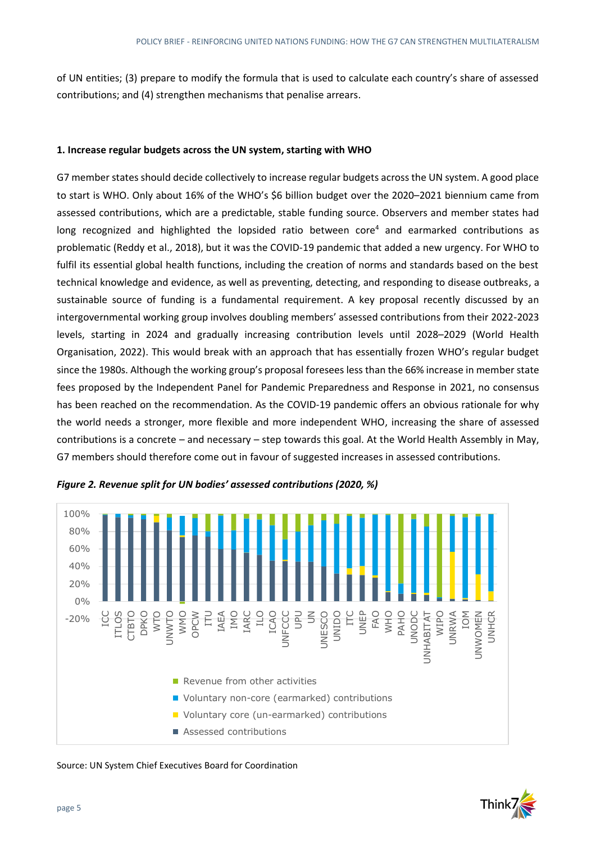of UN entities; (3) prepare to modify the formula that is used to calculate each country's share of assessed contributions; and (4) strengthen mechanisms that penalise arrears.

#### **1. Increase regular budgets across the UN system, starting with WHO**

G7 member states should decide collectively to increase regular budgets across the UN system. A good place to start is WHO. Only about 16% of the WHO's \$6 billion budget over the 2020–2021 biennium came from assessed contributions, which are a predictable, stable funding source. Observers and member states had long recognized and highlighted the lopsided ratio between core<sup>4</sup> and earmarked contributions as problematic (Reddy et al., 2018), but it was the COVID-19 pandemic that added a new urgency. For WHO to fulfil its essential global health functions, including the creation of norms and standards based on the best technical knowledge and evidence, as well as preventing, detecting, and responding to disease outbreaks, a sustainable source of funding is a fundamental requirement. A key proposal recently discussed by an intergovernmental working group involves doubling members' assessed contributions from their 2022-2023 levels, starting in 2024 and gradually increasing contribution levels until 2028–2029 (World Health Organisation, 2022). This would break with an approach that has essentially frozen WHO's regular budget since the 1980s. Although the working group's proposal foresees less than the 66% increase in member state fees proposed by the Independent Panel for Pandemic Preparedness and Response in 2021, no consensus has been reached on the recommendation. As the COVID-19 pandemic offers an obvious rationale for why the world needs a stronger, more flexible and more independent WHO, increasing the share of assessed contributions is a concrete – and necessary – step towards this goal. At the World Health Assembly in May, G7 members should therefore come out in favour of suggested increases in assessed contributions.



*Figure 2. Revenue split for UN bodies' assessed contributions (2020, %)* 

Source: UN System Chief Executives Board for Coordination

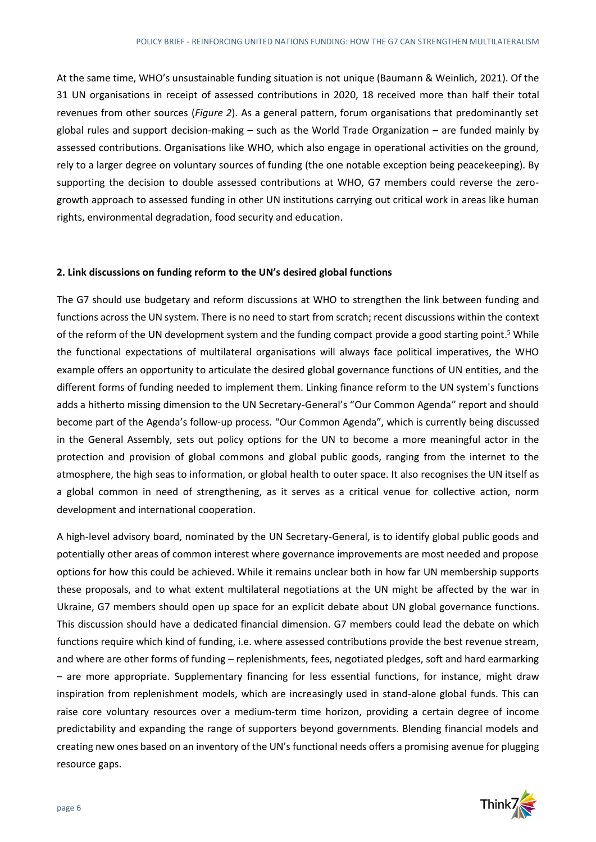At the same time, WHO's unsustainable funding situation is not unique (Baumann & Weinlich, 2021). Of the 31 UN organisations in receipt of assessed contributions in 2020, 18 received more than half their total revenues from other sources (*Figure 2*). As a general pattern, forum organisations that predominantly set global rules and support decision-making – such as the World Trade Organization – are funded mainly by assessed contributions. Organisations like WHO, which also engage in operational activities on the ground, rely to a larger degree on voluntary sources of funding (the one notable exception being peacekeeping). By supporting the decision to double assessed contributions at WHO, G7 members could reverse the zerogrowth approach to assessed funding in other UN institutions carrying out critical work in areas like human rights, environmental degradation, food security and education.

#### **2. Link discussions on funding reform to the UN's desired global functions**

The G7 should use budgetary and reform discussions at WHO to strengthen the link between funding and functions across the UN system. There is no need to start from scratch; recent discussions within the context of the reform of the UN development system and the funding compact provide a good starting point.<sup>5</sup> While the functional expectations of multilateral organisations will always face political imperatives, the WHO example offers an opportunity to articulate the desired global governance functions of UN entities, and the different forms of funding needed to implement them. Linking finance reform to the UN system's functions adds a hitherto missing dimension to the UN Secretary-General's "Our Common Agenda" report and should become part of the Agenda's follow-up process. "Our Common Agenda", which is currently being discussed in the General Assembly, sets out policy options for the UN to become a more meaningful actor in the protection and provision of global commons and global public goods, ranging from the internet to the atmosphere, the high seas to information, or global health to outer space. It also recognises the UN itself as a global common in need of strengthening, as it serves as a critical venue for collective action, norm development and international cooperation.

A high-level advisory board, nominated by the UN Secretary-General, is to identify global public goods and potentially other areas of common interest where governance improvements are most needed and propose options for how this could be achieved. While it remains unclear both in how far UN membership supports these proposals, and to what extent multilateral negotiations at the UN might be affected by the war in Ukraine, G7 members should open up space for an explicit debate about UN global governance functions. This discussion should have a dedicated financial dimension. G7 members could lead the debate on which functions require which kind of funding, i.e. where assessed contributions provide the best revenue stream, and where are other forms of funding – replenishments, fees, negotiated pledges, soft and hard earmarking – are more appropriate. Supplementary financing for less essential functions, for instance, might draw inspiration from replenishment models, which are increasingly used in stand-alone global funds. This can raise core voluntary resources over a medium-term time horizon, providing a certain degree of income predictability and expanding the range of supporters beyond governments. Blending financial models and creating new ones based on an inventory of the UN's functional needs offers a promising avenue for plugging resource gaps.

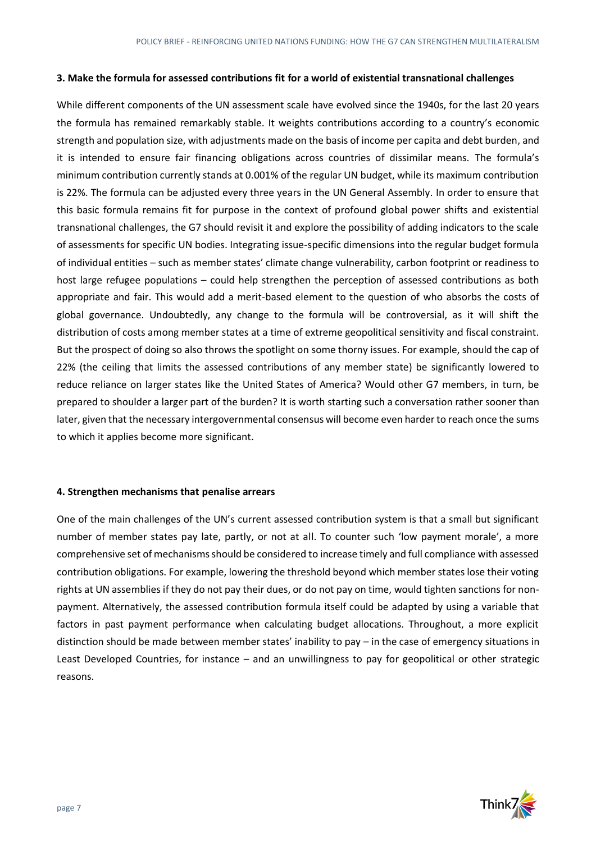#### **3. Make the formula for assessed contributions fit for a world of existential transnational challenges**

While different components of the UN assessment scale have evolved since the 1940s, for the last 20 years the formula has remained remarkably stable. It weights contributions according to a country's economic strength and population size, with adjustments made on the basis of income per capita and debt burden, and it is intended to ensure fair financing obligations across countries of dissimilar means. The formula's minimum contribution currently stands at 0.001% of the regular UN budget, while its maximum contribution is 22%. The formula can be adjusted every three years in the UN General Assembly. In order to ensure that this basic formula remains fit for purpose in the context of profound global power shifts and existential transnational challenges, the G7 should revisit it and explore the possibility of adding indicators to the scale of assessments for specific UN bodies. Integrating issue-specific dimensions into the regular budget formula of individual entities – such as member states' climate change vulnerability, carbon footprint or readiness to host large refugee populations – could help strengthen the perception of assessed contributions as both appropriate and fair. This would add a merit-based element to the question of who absorbs the costs of global governance. Undoubtedly, any change to the formula will be controversial, as it will shift the distribution of costs among member states at a time of extreme geopolitical sensitivity and fiscal constraint. But the prospect of doing so also throws the spotlight on some thorny issues. For example, should the cap of 22% (the ceiling that limits the assessed contributions of any member state) be significantly lowered to reduce reliance on larger states like the United States of America? Would other G7 members, in turn, be prepared to shoulder a larger part of the burden? It is worth starting such a conversation rather sooner than later, given that the necessary intergovernmental consensus will become even harder to reach once the sums to which it applies become more significant.

#### **4. Strengthen mechanisms that penalise arrears**

One of the main challenges of the UN's current assessed contribution system is that a small but significant number of member states pay late, partly, or not at all. To counter such 'low payment morale', a more comprehensive set of mechanisms should be considered to increase timely and full compliance with assessed contribution obligations. For example, lowering the threshold beyond which member states lose their voting rights at UN assemblies if they do not pay their dues, or do not pay on time, would tighten sanctions for nonpayment. Alternatively, the assessed contribution formula itself could be adapted by using a variable that factors in past payment performance when calculating budget allocations. Throughout, a more explicit distinction should be made between member states' inability to pay – in the case of emergency situations in Least Developed Countries, for instance – and an unwillingness to pay for geopolitical or other strategic reasons.

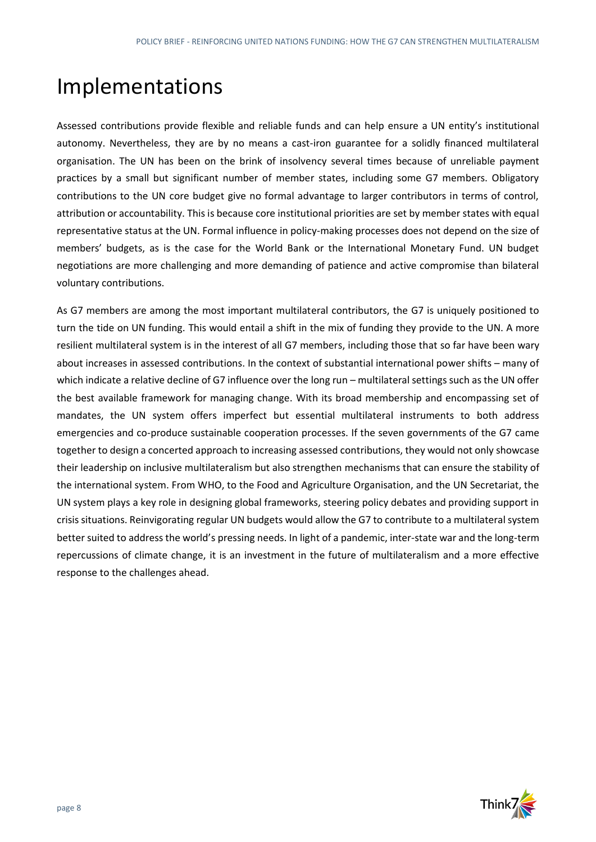### Implementations

Assessed contributions provide flexible and reliable funds and can help ensure a UN entity's institutional autonomy. Nevertheless, they are by no means a cast-iron guarantee for a solidly financed multilateral organisation. The UN has been on the brink of insolvency several times because of unreliable payment practices by a small but significant number of member states, including some G7 members. Obligatory contributions to the UN core budget give no formal advantage to larger contributors in terms of control, attribution or accountability. This is because core institutional priorities are set by member states with equal representative status at the UN. Formal influence in policy-making processes does not depend on the size of members' budgets, as is the case for the World Bank or the International Monetary Fund. UN budget negotiations are more challenging and more demanding of patience and active compromise than bilateral voluntary contributions.

As G7 members are among the most important multilateral contributors, the G7 is uniquely positioned to turn the tide on UN funding. This would entail a shift in the mix of funding they provide to the UN. A more resilient multilateral system is in the interest of all G7 members, including those that so far have been wary about increases in assessed contributions. In the context of substantial international power shifts – many of which indicate a relative decline of G7 influence over the long run – multilateral settings such as the UN offer the best available framework for managing change. With its broad membership and encompassing set of mandates, the UN system offers imperfect but essential multilateral instruments to both address emergencies and co-produce sustainable cooperation processes. If the seven governments of the G7 came together to design a concerted approach to increasing assessed contributions, they would not only showcase their leadership on inclusive multilateralism but also strengthen mechanisms that can ensure the stability of the international system. From WHO, to the Food and Agriculture Organisation, and the UN Secretariat, the UN system plays a key role in designing global frameworks, steering policy debates and providing support in crisis situations. Reinvigorating regular UN budgets would allow the G7 to contribute to a multilateral system better suited to address the world's pressing needs. In light of a pandemic, inter-state war and the long-term repercussions of climate change, it is an investment in the future of multilateralism and a more effective response to the challenges ahead.

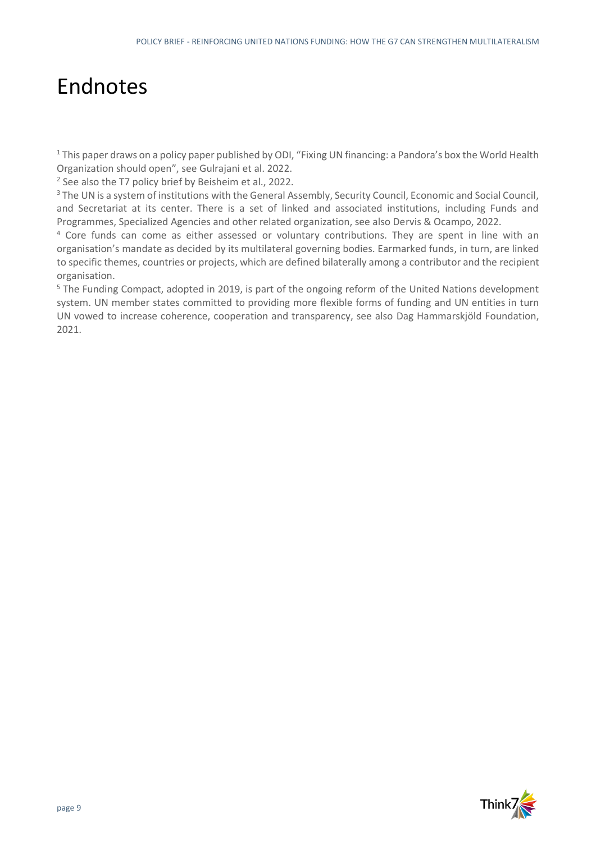### Endnotes

<sup>1</sup> This paper draws on a policy paper published by ODI, "Fixing UN financing: a Pandora's box the World Health Organization should open", see Gulrajani et al. 2022.

<sup>2</sup> See also the T7 policy brief by Beisheim et al., 2022.

<sup>3</sup> The UN is a system of institutions with the General Assembly, Security Council, Economic and Social Council, and Secretariat at its center. There is a set of linked and associated institutions, including Funds and Programmes, Specialized Agencies and other related organization, see also Dervis & Ocampo, 2022.

<sup>4</sup> Core funds can come as either assessed or voluntary contributions. They are spent in line with an organisation's mandate as decided by its multilateral governing bodies. Earmarked funds, in turn, are linked to specific themes, countries or projects, which are defined bilaterally among a contributor and the recipient organisation.

<sup>5</sup> The Funding Compact, adopted in 2019, is part of the ongoing reform of the United Nations development system. UN member states committed to providing more flexible forms of funding and UN entities in turn UN vowed to increase coherence, cooperation and transparency, see also Dag Hammarskjöld Foundation, 2021.

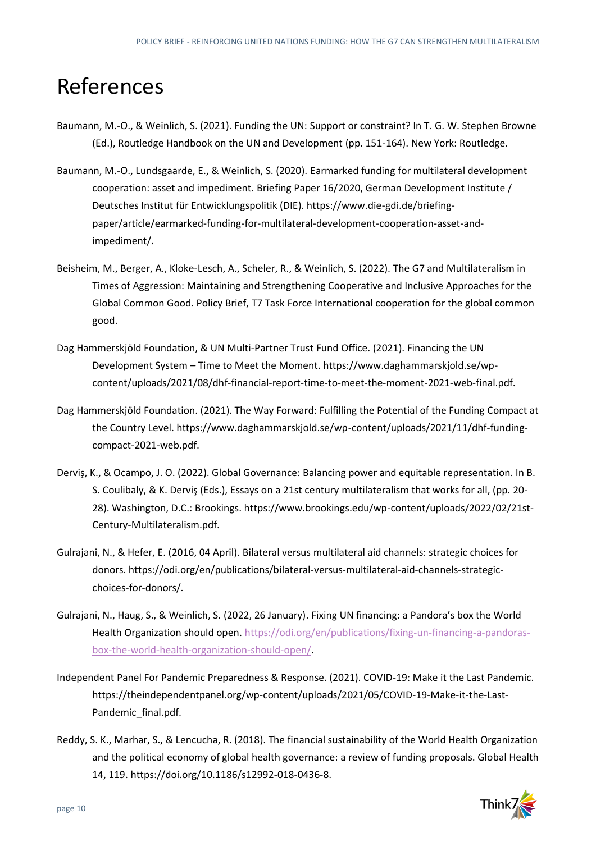### References

- Baumann, M.-O., & Weinlich, S. (2021). Funding the UN: Support or constraint? In T. G. W. Stephen Browne (Ed.), Routledge Handbook on the UN and Development (pp. 151-164). New York: Routledge.
- Baumann, M.-O., Lundsgaarde, E., & Weinlich, S. (2020). Earmarked funding for multilateral development cooperation: asset and impediment. Briefing Paper 16/2020, German Development Institute / Deutsches Institut für Entwicklungspolitik (DIE). https://www.die-gdi.de/briefingpaper/article/earmarked-funding-for-multilateral-development-cooperation-asset-andimpediment/.
- Beisheim, M., Berger, A., Kloke-Lesch, A., Scheler, R., & Weinlich, S. (2022). The G7 and Multilateralism in Times of Aggression: Maintaining and Strengthening Cooperative and Inclusive Approaches for the Global Common Good. Policy Brief, T7 Task Force International cooperation for the global common good.
- Dag Hammerskjöld Foundation, & UN Multi-Partner Trust Fund Office. (2021). Financing the UN Development System – Time to Meet the Moment. https://www.daghammarskjold.se/wpcontent/uploads/2021/08/dhf-financial-report-time-to-meet-the-moment-2021-web-final.pdf.
- Dag Hammerskjöld Foundation. (2021). The Way Forward: Fulfilling the Potential of the Funding Compact at the Country Level. https://www.daghammarskjold.se/wp-content/uploads/2021/11/dhf-fundingcompact-2021-web.pdf.
- Derviş, K., & Ocampo, J. O. (2022). Global Governance: Balancing power and equitable representation. In B. S. Coulibaly, & K. Derviş (Eds.), Essays on a 21st century multilateralism that works for all, (pp. 20- 28). Washington, D.C.: Brookings. https://www.brookings.edu/wp-content/uploads/2022/02/21st-Century-Multilateralism.pdf.
- Gulrajani, N., & Hefer, E. (2016, 04 April). Bilateral versus multilateral aid channels: strategic choices for donors. https://odi.org/en/publications/bilateral-versus-multilateral-aid-channels-strategicchoices-for-donors/.
- Gulrajani, N., Haug, S., & Weinlich, S. (2022, 26 January). Fixing UN financing: a Pandora's box the World Health Organization should open[. https://odi.org/en/publications/fixing-un-financing-a-pandoras](https://odi.org/en/publications/fixing-un-financing-a-pandoras-box-the-world-health-organization-should-open/)[box-the-world-health-organization-should-open/.](https://odi.org/en/publications/fixing-un-financing-a-pandoras-box-the-world-health-organization-should-open/)
- Independent Panel For Pandemic Preparedness & Response. (2021). COVID-19: Make it the Last Pandemic. https://theindependentpanel.org/wp-content/uploads/2021/05/COVID-19-Make-it-the-Last-Pandemic\_final.pdf.
- Reddy, S. K., Marhar, S., & Lencucha, R. (2018). The financial sustainability of the World Health Organization and the political economy of global health governance: a review of funding proposals. Global Health 14, 119. https://doi.org/10.1186/s12992-018-0436-8.

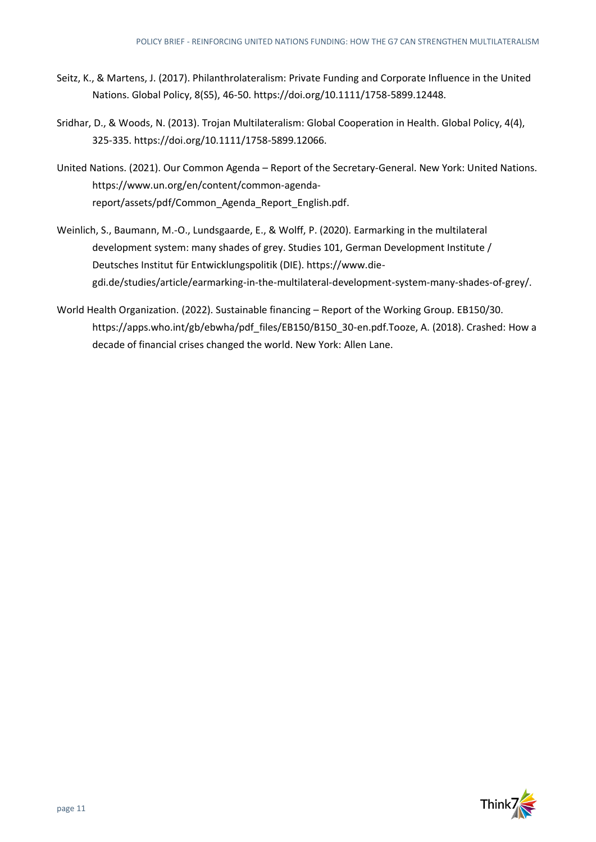- Seitz, K., & Martens, J. (2017). Philanthrolateralism: Private Funding and Corporate Influence in the United Nations. Global Policy, 8(S5), 46-50. https://doi.org/10.1111/1758-5899.12448.
- Sridhar, D., & Woods, N. (2013). Trojan Multilateralism: Global Cooperation in Health. Global Policy, 4(4), 325-335. https://doi.org/10.1111/1758-5899.12066.
- United Nations. (2021). Our Common Agenda Report of the Secretary-General. New York: United Nations. https://www.un.org/en/content/common-agendareport/assets/pdf/Common\_Agenda\_Report\_English.pdf.
- Weinlich, S., Baumann, M.-O., Lundsgaarde, E., & Wolff, P. (2020). Earmarking in the multilateral development system: many shades of grey. Studies 101, German Development Institute / Deutsches Institut für Entwicklungspolitik (DIE). https://www.diegdi.de/studies/article/earmarking-in-the-multilateral-development-system-many-shades-of-grey/.
- World Health Organization. (2022). Sustainable financing Report of the Working Group. EB150/30. https://apps.who.int/gb/ebwha/pdf\_files/EB150/B150\_30-en.pdf.Tooze, A. (2018). Crashed: How a decade of financial crises changed the world. New York: Allen Lane.

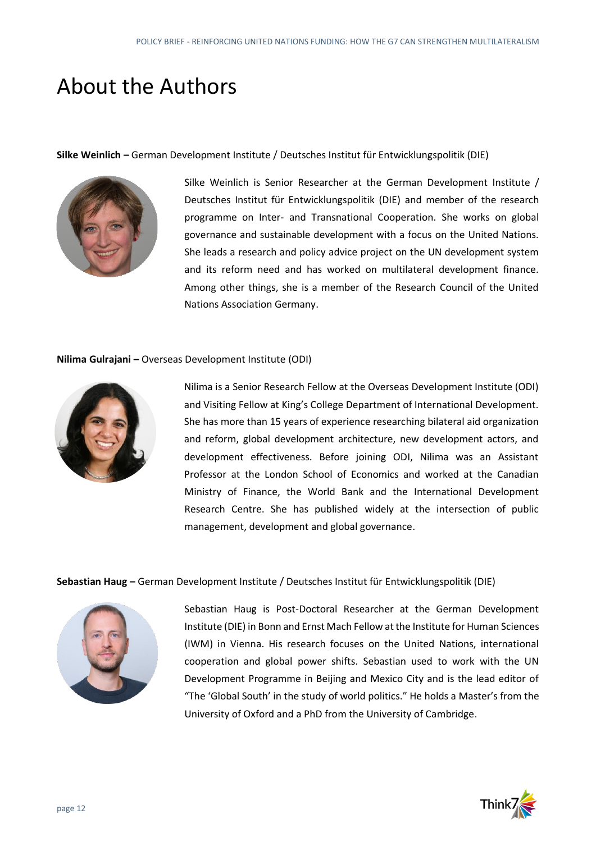### About the Authors

**Silke Weinlich –** German Development Institute / Deutsches Institut für Entwicklungspolitik (DIE)



Silke Weinlich is Senior Researcher at the German Development Institute / Deutsches Institut für Entwicklungspolitik (DIE) and member of the research programme on Inter- and Transnational Cooperation. She works on global governance and sustainable development with a focus on the United Nations. She leads a research and policy advice project on the UN development system and its reform need and has worked on multilateral development finance. Among other things, she is a member of the Research Council of the United Nations Association Germany.

#### **Nilima Gulrajani –** Overseas Development Institute (ODI)



Nilima is a Senior Research Fellow at the Overseas Development Institute (ODI) and Visiting Fellow at King's College Department of International Development. She has more than 15 years of experience researching bilateral aid organization and reform, global development architecture, new development actors, and development effectiveness. Before joining ODI, Nilima was an Assistant Professor at the London School of Economics and worked at the Canadian Ministry of Finance, the World Bank and the International Development Research Centre. She has published widely at the intersection of public management, development and global governance.

**Sebastian Haug –** German Development Institute / Deutsches Institut für Entwicklungspolitik (DIE)



Sebastian Haug is Post-Doctoral Researcher at the German Development Institute (DIE) in Bonn and Ernst Mach Fellow at the Institute for Human Sciences (IWM) in Vienna. His research focuses on the United Nations, international cooperation and global power shifts. Sebastian used to work with the UN Development Programme in Beijing and Mexico City and is the lead editor of "The 'Global South' in the study of world politics." He holds a Master's from the University of Oxford and a PhD from the University of Cambridge.